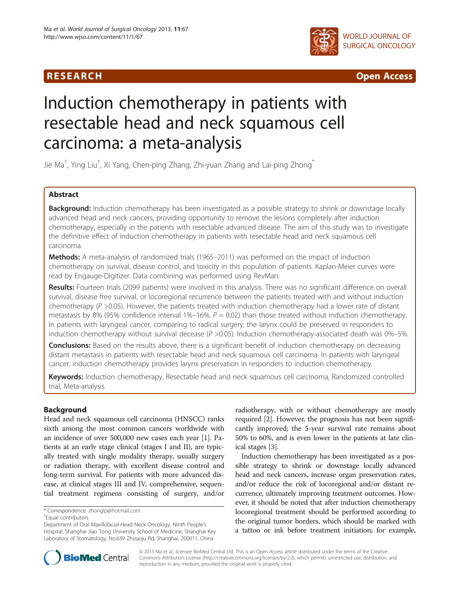



# Induction chemotherapy in patients with resectable head and neck squamous cell carcinoma: a meta-analysis

Jie Ma<sup>†</sup>, Ying Liu<sup>†</sup>, Xi Yang, Chen-ping Zhang, Zhi-yuan Zhang and Lai-ping Zhong<sup>\*</sup>

# Abstract

Background: Induction chemotherapy has been investigated as a possible strategy to shrink or downstage locally advanced head and neck cancers, providing opportunity to remove the lesions completely after induction chemotherapy, especially in the patients with resectable advanced disease. The aim of this study was to investigate the definitive effect of induction chemotherapy in patients with resectable head and neck squamous cell carcinoma.

Methods: A meta-analysis of randomized trials (1965–2011) was performed on the impact of induction chemotherapy on survival, disease control, and toxicity in this population of patients. Kaplan-Meier curves were read by Engauge-Digitizer. Data combining was performed using RevMan.

Results: Fourteen trials (2099 patients) were involved in this analysis. There was no significant difference on overall survival, disease free survival, or locoregional recurrence between the patients treated with and without induction chemotherapy ( $P > 0.05$ ). However, the patients treated with induction chemotherapy had a lower rate of distant metastasis by 8% (95% confidence interval 1%–16%,  $P = 0.02$ ) than those treated without induction chemotherapy. In patients with laryngeal cancer, comparing to radical surgery, the larynx could be preserved in responders to induction chemotherapy without survival decease  $(P > 0.05)$ . Induction chemotherapy-associated death was 0%–5%.

**Conclusions:** Based on the results above, there is a significant benefit of induction chemotherapy on decreasing distant metastasis in patients with resectable head and neck squamous cell carcinoma. In patients with laryngeal cancer, induction chemotherapy provides larynx preservation in responders to induction chemotherapy.

Keywords: Induction chemotherapy, Resectable head and neck squamous cell carcinoma, Randomized controlled trial, Meta-analysis

# Background

Head and neck squamous cell carcinoma (HNSCC) ranks sixth among the most common cancers worldwide with an incidence of over 500,000 new cases each year [\[1\]](#page-5-0). Patients at an early stage clinical (stages I and II), are typically treated with single modality therapy, usually surgery or radiation therapy, with excellent disease control and long-term survival. For patients with more advanced disease, at clinical stages III and IV, comprehensive, sequential treatment regimens consisting of surgery, and/or

radiotherapy, with or without chemotherapy are mostly required [[2\]](#page-5-0). However, the prognosis has not been significantly improved; the 5-year survival rate remains about 50% to 60%, and is even lower in the patients at late clinical stages [[3\]](#page-5-0).

Induction chemotherapy has been investigated as a possible strategy to shrink or downstage locally advanced head and neck cancers, increase organ preservation rates, and/or reduce the risk of locoregional and/or distant recurrence, ultimately improving treatment outcomes. However, it should be noted that after induction chemotherapy locoregional treatment should be performed according to the original tumor borders, which should be marked with a tattoo or ink before treatment initiation; for example,



© 2013 Ma et al.; licensee BioMed Central Ltd. This is an Open Access article distributed under the terms of the Creative Commons Attribution License [\(http://creativecommons.org/licenses/by/2.0\)](http://creativecommons.org/licenses/by/2.0), which permits unrestricted use, distribution, and reproduction in any medium, provided the original work is properly cited.

<sup>\*</sup> Correspondence: [zhonglp@hotmail.com](mailto:zhonglp@hotmail.com) †

Equal contributors

Department of Oral Maxillofacial-Head Neck Oncology, Ninth People's Hospital, Shanghai Jiao Tong University School of Medicine, Shanghai Key Laboratory of Stomatology, No.639 Zhizaoju Rd, Shanghai, 200011, China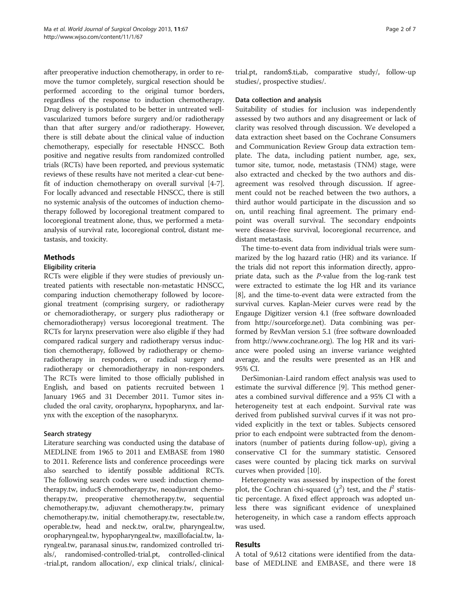after preoperative induction chemotherapy, in order to remove the tumor completely, surgical resection should be performed according to the original tumor borders, regardless of the response to induction chemotherapy. Drug delivery is postulated to be better in untreated wellvascularized tumors before surgery and/or radiotherapy than that after surgery and/or radiotherapy. However, there is still debate about the clinical value of induction chemotherapy, especially for resectable HNSCC. Both positive and negative results from randomized controlled trials (RCTs) have been reported, and previous systematic reviews of these results have not merited a clear-cut benefit of induction chemotherapy on overall survival [\[4](#page-5-0)-[7](#page-5-0)]. For locally advanced and resectable HNSCC, there is still no systemic analysis of the outcomes of induction chemotherapy followed by locoregional treatment compared to locoregional treatment alone, thus, we performed a metaanalysis of survival rate, locoregional control, distant metastasis, and toxicity.

## Methods

## Eligibility criteria

RCTs were eligible if they were studies of previously untreated patients with resectable non-metastatic HNSCC, comparing induction chemotherapy followed by locoregional treatment (comprising surgery, or radiotherapy or chemoradiotherapy, or surgery plus radiotherapy or chemoradiotherapy) versus locoregional treatment. The RCTs for larynx preservation were also eligible if they had compared radical surgery and radiotherapy versus induction chemotherapy, followed by radiotherapy or chemoradiotherapy in responders, or radical surgery and radiotherapy or chemoradiotherapy in non-responders. The RCTs were limited to those officially published in English, and based on patients recruited between 1 January 1965 and 31 December 2011. Tumor sites included the oral cavity, oropharynx, hypopharynx, and larynx with the exception of the nasopharynx.

## Search strategy

Literature searching was conducted using the database of MEDLINE from 1965 to 2011 and EMBASE from 1980 to 2011. Reference lists and conference proceedings were also searched to identify possible additional RCTs. The following search codes were used: induction chemotherapy.tw, induc\$ chemotherapy.tw, neoadjuvant chemotherapy.tw, preoperative chemotherapy.tw, sequential chemotherapy.tw, adjuvant chemotherapy.tw, primary chemotherapy.tw, initial chemotherapy.tw, resectable.tw, operable.tw, head and neck.tw, oral.tw, pharyngeal.tw, oropharyngeal.tw, hypopharyngeal.tw, maxillofacial.tw, laryngeal.tw, paranasal sinus.tw, randomized controlled trials/, randomised-controlled-trial.pt, controlled-clinical -trial.pt, random allocation/, exp clinical trials/, clinicaltrial.pt, random\$.ti,ab, comparative study/, follow-up studies/, prospective studies/.

### Data collection and analysis

Suitability of studies for inclusion was independently assessed by two authors and any disagreement or lack of clarity was resolved through discussion. We developed a data extraction sheet based on the Cochrane Consumers and Communication Review Group data extraction template. The data, including patient number, age, sex, tumor site, tumor, node, metastasis (TNM) stage, were also extracted and checked by the two authors and disagreement was resolved through discussion. If agreement could not be reached between the two authors, a third author would participate in the discussion and so on, until reaching final agreement. The primary endpoint was overall survival. The secondary endpoints were disease-free survival, locoregional recurrence, and distant metastasis.

The time-to-event data from individual trials were summarized by the log hazard ratio (HR) and its variance. If the trials did not report this information directly, appropriate data, such as the P-value from the log-rank test were extracted to estimate the log HR and its variance [[8\]](#page-5-0), and the time-to-event data were extracted from the survival curves. Kaplan-Meier curves were read by the Engauge Digitizer version 4.1 (free software downloaded from [http://sourceforge.net\)](http://sourceforge.net). Data combining was performed by RevMan version 5.1 (free software downloaded from<http://www.cochrane.org>). The log HR and its variance were pooled using an inverse variance weighted average, and the results were presented as an HR and 95% CI.

DerSimonian-Laird random effect analysis was used to estimate the survival difference [[9\]](#page-5-0). This method generates a combined survival difference and a 95% CI with a heterogeneity test at each endpoint. Survival rate was derived from published survival curves if it was not provided explicitly in the text or tables. Subjects censored prior to each endpoint were subtracted from the denominators (number of patients during follow-up), giving a conservative CI for the summary statistic. Censored cases were counted by placing tick marks on survival curves when provided  $|10|$ .

Heterogeneity was assessed by inspection of the forest plot, the Cochran chi-squared  $(\chi^2)$  test, and the  $I^2$  statistic percentage. A fixed effect approach was adopted unless there was significant evidence of unexplained heterogeneity, in which case a random effects approach was used.

## Results

A total of 9,612 citations were identified from the database of MEDLINE and EMBASE, and there were 18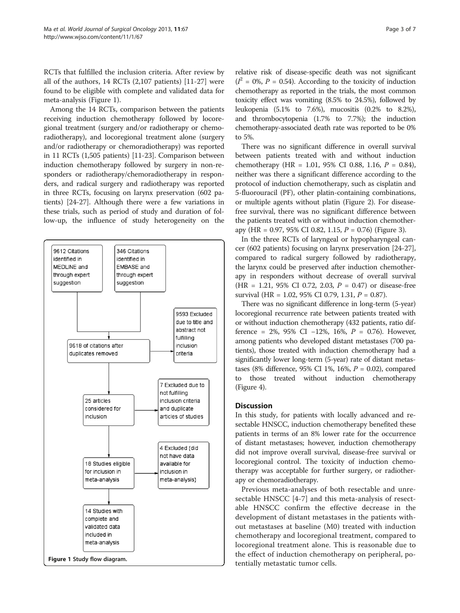RCTs that fulfilled the inclusion criteria. After review by all of the authors, 14 RCTs (2,107 patients) [[11](#page-5-0)-[27\]](#page-6-0) were found to be eligible with complete and validated data for meta-analysis (Figure 1).

Among the 14 RCTs, comparison between the patients receiving induction chemotherapy followed by locoregional treatment (surgery and/or radiotherapy or chemoradiotherapy), and locoregional treatment alone (surgery and/or radiotherapy or chemoradiotherapy) was reported in 11 RCTs (1,505 patients) [\[11-](#page-5-0)[23\]](#page-6-0). Comparison between induction chemotherapy followed by surgery in non-responders or radiotherapy/chemoradiotherapy in responders, and radical surgery and radiotherapy was reported in three RCTs, focusing on larynx preservation (602 patients) [\[24-27](#page-6-0)]. Although there were a few variations in these trials, such as period of study and duration of follow-up, the influence of study heterogeneity on the



relative risk of disease-specific death was not significant  $(I^2 = 0\%, P = 0.54)$ . According to the toxicity of induction chemotherapy as reported in the trials, the most common toxicity effect was vomiting (8.5% to 24.5%), followed by leukopenia (5.1% to 7.6%), mucositis (0.2% to 8.2%), and thrombocytopenia (1.7% to 7.7%); the induction chemotherapy-associated death rate was reported to be 0% to 5%.

There was no significant difference in overall survival between patients treated with and without induction chemotherapy (HR = 1.01, 95% CI 0.88, 1.16,  $P = 0.84$ ), neither was there a significant difference according to the protocol of induction chemotherapy, such as cisplatin and 5-fluorouracil (PF), other platin-containing combinations, or multiple agents without platin (Figure [2\)](#page-3-0). For diseasefree survival, there was no significant difference between the patients treated with or without induction chemotherapy (HR = 0.97, 95% CI 0.82, 1.15,  $P = 0.76$ ) (Figure [3](#page-3-0)).

In the three RCTs of laryngeal or hypopharyngeal cancer (602 patients) focusing on larynx preservation [[24](#page-6-0)-[27](#page-6-0)], compared to radical surgery followed by radiotherapy, the larynx could be preserved after induction chemotherapy in responders without decrease of overall survival  $(HR = 1.21, 95\% \text{ CI } 0.72, 2.03, P = 0.47)$  or disease-free survival (HR = 1.02, 95% CI 0.79, 1.31, P = 0.87).

There was no significant difference in long-term (5-year) locoregional recurrence rate between patients treated with or without induction chemotherapy (432 patients, ratio difference = 2%, 95% CI  $-12\%$ , 16%,  $P = 0.76$ ). However, among patients who developed distant metastases (700 patients), those treated with induction chemotherapy had a significantly lower long-term (5-year) rate of distant metastases (8% difference, 95% CI 1%, 16%,  $P = 0.02$ ), compared to those treated without induction chemotherapy (Figure [4](#page-4-0)).

## **Discussion**

In this study, for patients with locally advanced and resectable HNSCC, induction chemotherapy benefited these patients in terms of an 8% lower rate for the occurrence of distant metastases; however, induction chemotherapy did not improve overall survival, disease-free survival or locoregional control. The toxicity of induction chemotherapy was acceptable for further surgery, or radiotherapy or chemoradiotherapy.

Previous meta-analyses of both resectable and unresectable HNSCC [[4-7](#page-5-0)] and this meta-analysis of resectable HNSCC confirm the effective decrease in the development of distant metastases in the patients without metastases at baseline (M0) treated with induction chemotherapy and locoregional treatment, compared to locoregional treatment alone. This is reasonable due to the effect of induction chemotherapy on peripheral, po-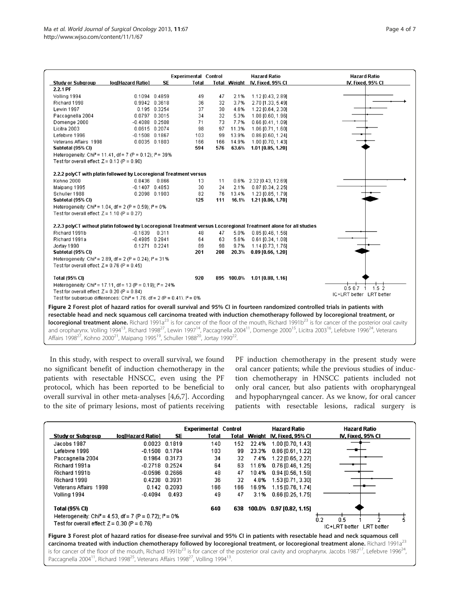<span id="page-3-0"></span>

|                                                                                                                                                                                                                                        |                    |               | <b>Experimental Control</b> |     |            | <b>Hazard Ratio</b>            | <b>Hazard Ratio</b>      |  |
|----------------------------------------------------------------------------------------------------------------------------------------------------------------------------------------------------------------------------------------|--------------------|---------------|-----------------------------|-----|------------|--------------------------------|--------------------------|--|
| <b>Study or Subgroup</b>                                                                                                                                                                                                               | log[Hazard Ratio]  | <b>SE</b>     | <b>Total</b>                |     |            | Total Weight IV, Fixed, 95% CI | IV, Fixed, 95% CI        |  |
| $2.2.1$ PF                                                                                                                                                                                                                             |                    |               |                             |     |            |                                |                          |  |
| Volling 1994                                                                                                                                                                                                                           |                    | 0.1094 0.4859 | 49                          | 47  | 2.1%       | 1.12 [0.43, 2.89]              |                          |  |
| Richard 1998                                                                                                                                                                                                                           |                    | 0.9942 0.3618 | 36                          | 32  | 3.7%       | 2.70 [1.33, 5.49]              |                          |  |
| Lewin 1997                                                                                                                                                                                                                             |                    | 0.195 0.3254  | 37                          | 30  | 4.6%       | 1.22 [0.64, 2.30]              |                          |  |
| Paccagnella 2004                                                                                                                                                                                                                       |                    | 0.0797 0.3015 | 34                          | 32  | 5.3%       | 1.08 [0.60, 1.96]              |                          |  |
| Domenge 2000                                                                                                                                                                                                                           | $-0.4088$ $0.2508$ |               | 71                          | 73  | 7.7%       | $0.66$ [0.41, 1.09]            |                          |  |
| Licitra 2003                                                                                                                                                                                                                           |                    | 0.0615 0.2074 | 98                          | 97  | 11.3%      | 1.06 [0.71, 1.60]              |                          |  |
| Lefebvre 1996                                                                                                                                                                                                                          | $-0.1508$ $0.1867$ |               | 103                         | 99  | 13.9%      | $0.86$ [0.60, 1.24]            |                          |  |
| Veterans Affairs 1998                                                                                                                                                                                                                  |                    | 0.0035 0.1803 | 166                         | 166 | 14.9%      | 1.00 [0.70, 1.43]              |                          |  |
| Subtotal (95% CI)                                                                                                                                                                                                                      |                    |               | 594                         | 576 | 63.6%      | 1.01 [0.85, 1.20]              |                          |  |
| Heterogeneity: Chi <sup>2</sup> = 11.41, df = 7 (P = 0.12); $I^2$ = 39%                                                                                                                                                                |                    |               |                             |     |            |                                |                          |  |
| Test for overall effect: $Z = 0.13$ (P = 0.90)                                                                                                                                                                                         |                    |               |                             |     |            |                                |                          |  |
| 2.2.2 polyCT with platin followed by Locoregional Treatment versus                                                                                                                                                                     |                    |               |                             |     |            |                                |                          |  |
| <b>Kohno 2000</b>                                                                                                                                                                                                                      | 0.8436             | 0.866         | 13                          | 11  |            | 0.6% 2.32 [0.43, 12.69]        |                          |  |
| Maipang 1995                                                                                                                                                                                                                           | $-0.1407$ 0.4853   |               | 30                          | 24  | 2.1%       | $0.87$ [0.34, 2.25]            |                          |  |
| Schuller 1988                                                                                                                                                                                                                          |                    | 0.2098 0.1903 | 82                          | 76  | 13.4%      | 1.23 [0.85, 1.79]              |                          |  |
| Subtotal (95% CI)                                                                                                                                                                                                                      |                    |               | 125                         | 111 |            | 16.1% 1.21 [0.86, 1.70]        |                          |  |
| Heterogeneity: Chi <sup>2</sup> = 1.04, df = 2 (P = 0.59); $P = 0\%$                                                                                                                                                                   |                    |               |                             |     |            |                                |                          |  |
| Test for overall effect: $Z = 1.10$ (P = 0.27)                                                                                                                                                                                         |                    |               |                             |     |            |                                |                          |  |
| 2.2.3 polyCT without platin followed by Locoregional Treatment versus Locoregional Treatment alone for all studies                                                                                                                     |                    |               |                             |     |            |                                |                          |  |
| Richard 1991b                                                                                                                                                                                                                          | $-0.1639$          | 0.311         | 48                          | 47  | 5.0%       | $0.85$ [0.46, 1.56]            |                          |  |
| Richard 1991a                                                                                                                                                                                                                          | $-0.4985$ 0.2941   |               | 64                          | 63  | 5.6%       | $0.61$ [0.34, 1.08]            |                          |  |
| Jortay 1990                                                                                                                                                                                                                            | 0.1271 0.2241      |               | 89                          | 98  | 9.7%       | 1.14 [0.73, 1.76]              |                          |  |
| Subtotal (95% CI)                                                                                                                                                                                                                      |                    |               | 201                         | 208 | 20.3%      | $0.89$ [0.66, 1.20]            |                          |  |
| Heterogeneity: Chi <sup>2</sup> = 2.89, df = 2 (P = 0.24); $I^2$ = 31%                                                                                                                                                                 |                    |               |                             |     |            |                                |                          |  |
| Test for overall effect: $Z = 0.76$ (P = 0.45)                                                                                                                                                                                         |                    |               |                             |     |            |                                |                          |  |
| <b>Total (95% CI)</b>                                                                                                                                                                                                                  |                    |               | 920                         |     | 895 100.0% | 1.01 [0.88, 1.16]              |                          |  |
| Heterogeneity: Chi <sup>2</sup> = 17.11, df = 13 (P = 0.19); $P = 24\%$                                                                                                                                                                |                    |               |                             |     |            |                                |                          |  |
| Test for overall effect: $Z = 0.20$ (P = 0.84)                                                                                                                                                                                         |                    |               |                             |     |            | $0.50.7 \quad 1 \quad 1.52$    |                          |  |
| Test for subgroup differences: Chi <sup>2</sup> = 1.76, df = 2 (P = 0.41), $I^2 = 0\%$                                                                                                                                                 |                    |               |                             |     |            |                                | IC+LRT better LRT better |  |
| Figure 2 Forest plot of hazard ratios for overall survival and 95% CI in fourteen randomized controlled trials in patients with                                                                                                        |                    |               |                             |     |            |                                |                          |  |
| resectable head and neck squamous cell carcinoma treated with induction chemotherapy followed by locoregional treatment, or                                                                                                            |                    |               |                             |     |            |                                |                          |  |
| locoregional treatment alone. Richard 1991a <sup>23</sup> is for cancer of the floor of the mouth, Richard 1991b <sup>23</sup> is for cancer of the posterior oral cavity                                                              |                    |               |                             |     |            |                                |                          |  |
| and oropharynx. Volling 1994 <sup>13</sup> , Richard 1998 <sup>27</sup> , Lewin 1997 <sup>14</sup> , Paccagnella 2004 <sup>11</sup> , Domenge 2000 <sup>15</sup> , Licitra 2003 <sup>16</sup> , Lefebvre 1996 <sup>24</sup> , Veterans |                    |               |                             |     |            |                                |                          |  |

Affairs 1998<sup>27</sup>, Kohno 2000<sup>21</sup>, Maipang 1995<sup>19</sup>, Schuller 1988<sup>20</sup>, Jortay 1990<sup>22</sup>.

In this study, with respect to overall survival, we found no significant benefit of induction chemotherapy in the patients with resectable HNSCC, even using the PF protocol, which has been reported to be beneficial to overall survival in other meta-analyses [[4,6,7\]](#page-5-0). According to the site of primary lesions, most of patients receiving PF induction chemotherapy in the present study were oral cancer patients; while the previous studies of induction chemotherapy in HNSCC patients included not only oral cancer, but also patients with oropharyngeal and hypopharyngeal cancer. As we know, for oral cancer patients with resectable lesions, radical surgery is

|                                                                      |                           |                | <b>Experimental Control</b> |     |       | <b>Hazard Ratio</b>            | <b>Hazard Ratio</b>                    |
|----------------------------------------------------------------------|---------------------------|----------------|-----------------------------|-----|-------|--------------------------------|----------------------------------------|
| <b>Study or Subgroup</b>                                             | <b>log</b> [Hazard Ratio] | <b>SE</b>      | Total                       |     |       | Total Weight IV, Fixed, 95% CI | IV, Fixed, 95% CI                      |
| Jacobs 1987                                                          | $0.0023$ $0.1819$         |                | 140                         | 152 | 22.4% | 1.00 [0.70, 1.43]              |                                        |
| Lefebvre 1996                                                        | $-0.1508$ $0.1784$        |                | 103                         | 99  | 23.3% | 0.86 10.61, 1.221              |                                        |
| Paccagnella 2004                                                     | 0.1964 0.3173             |                | 34                          | 32  | 7.4%  | 1.22 10.65, 2.271              |                                        |
| Richard 1991a                                                        | $-0.2718$ 0.2524          |                | 64                          | 63  | 11.6% | $0.76$ [0.46, 1.25]            |                                        |
| Richard 1991b                                                        | $-0.0596$ $0.2666$        |                | 48                          | 47  | 10.4% | $0.94$ [0.56, 1.59]            |                                        |
| Richard 1998                                                         | 0.4238 0.3931             |                | 36                          | 32  | 4.8%  | 1.53 [0.71, 3.30]              |                                        |
| Veterans Affairs 1998                                                |                           | $0.142$ 0.2093 | 166                         | 166 | 16.9% | 1.15 [0.76, 1.74]              |                                        |
| Volling 1994                                                         | $-0.4094$                 | 0.493          | 49                          | 47  | 3.1%  | $0.66$ [0.25, 1.75]            |                                        |
| <b>Total (95% CI)</b>                                                |                           |                | 640                         |     |       | 638 100.0% 0.97 [0.82, 1.15]   |                                        |
| Heterogeneity: Chi <sup>2</sup> = 4.53, df = 7 (P = 0.72); $P = 0\%$ |                           |                |                             |     |       |                                |                                        |
| Test for overall effect: $Z = 0.30$ (P = 0.76)                       |                           |                |                             |     |       |                                | 0.5<br>0.2<br>IC+LRT better LRT better |

carcinoma treated with induction chemotherapy followed by locoregional treatment, or locoregional treatment alone. Richard 1991a<sup>23</sup> is for cancer of the floor of the mouth, Richard 1991b<sup>23</sup> is for cancer of the posterior oral cavity and oropharynx. Jacobs 1987<sup>17</sup>, Lefebvre 1996<sup>24</sup>, Paccagnella 2004<sup>11</sup>, Richard 1998<sup>25</sup>, Veterans Affairs 1998<sup>27</sup>, Volling 1994<sup>13</sup>.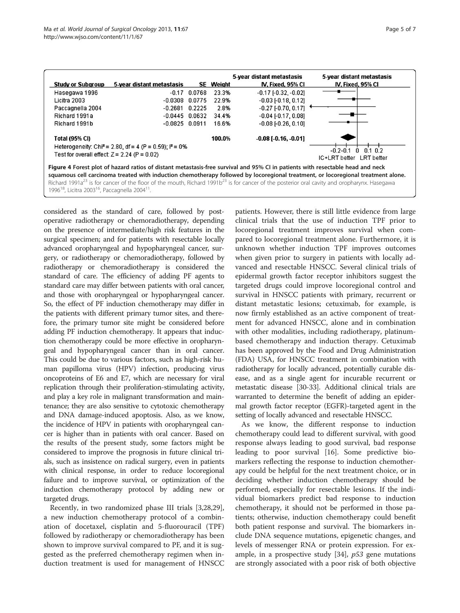<span id="page-4-0"></span>

|                                                                                                                                                                                                                                                                                                                                                                                                                                                                                                                                  |                           |        |                  | 5-year distant metastasis | 5-year distant metastasis |  |  |  |
|----------------------------------------------------------------------------------------------------------------------------------------------------------------------------------------------------------------------------------------------------------------------------------------------------------------------------------------------------------------------------------------------------------------------------------------------------------------------------------------------------------------------------------|---------------------------|--------|------------------|---------------------------|---------------------------|--|--|--|
| <b>Study or Subgroup</b>                                                                                                                                                                                                                                                                                                                                                                                                                                                                                                         | 5-year distant metastasis |        | <b>SE</b> Weight | IV, Fixed, 95% CI         | IV. Fixed, 95% CI         |  |  |  |
| Hasegawa 1996                                                                                                                                                                                                                                                                                                                                                                                                                                                                                                                    | $-0.17$                   | 0.0768 | 23.3%            | $-0.17$ $[-0.32, -0.02]$  |                           |  |  |  |
| Licitra 2003                                                                                                                                                                                                                                                                                                                                                                                                                                                                                                                     | $-0.0308$                 | 0.0775 | 22.9%            | $-0.03$ $[-0.18, 0.12]$   |                           |  |  |  |
| Paccagnella 2004                                                                                                                                                                                                                                                                                                                                                                                                                                                                                                                 | $-0.2681$                 | 0.2225 | 2.8%             | $-0.27$ $[-0.70, 0.17]$   |                           |  |  |  |
| Richard 1991a                                                                                                                                                                                                                                                                                                                                                                                                                                                                                                                    | $-0.0445$ 0.0632          |        | 34.4%            | $-0.04$ $[-0.17, 0.08]$   |                           |  |  |  |
| Richard 1991b                                                                                                                                                                                                                                                                                                                                                                                                                                                                                                                    | $-0.0825$                 | 0.0911 | 16.6%            | $-0.08$ $[-0.26, 0.10]$   |                           |  |  |  |
| $-0.08$ [ $-0.16, -0.01$ ]<br>100.0%<br><b>Total (95% CI)</b><br>Heterogeneity: Chi <sup>2</sup> = 2.80, df = 4 (P = 0.59); $P = 0\%$<br>$-0.2 - 0.1$<br>0.1, 0.2<br>n<br>Test for overall effect: $Z = 2.24$ (P = 0.02)<br>IC+LRT better LRT better                                                                                                                                                                                                                                                                             |                           |        |                  |                           |                           |  |  |  |
| Figure 4 Forest plot of hazard ratios of distant metastasis-free survival and 95% CI in patients with resectable head and neck<br>squamous cell carcinoma treated with induction chemotherapy followed by locoregional treatment, or locoregional treatment alone.<br>Richard 1991a <sup>23</sup> is for cancer of the floor of the mouth, Richard 1991b <sup>23</sup> is for cancer of the posterior oral cavity and oropharynx. Hasegawa<br>1996 <sup>18</sup> , Licitra 2003 <sup>16</sup> , Paccagnella 2004 <sup>11</sup> . |                           |        |                  |                           |                           |  |  |  |

considered as the standard of care, followed by postoperative radiotherapy or chemoradiotherapy, depending on the presence of intermediate/high risk features in the surgical specimen; and for patients with resectable locally advanced oropharyngeal and hypopharyngeal cancer, surgery, or radiotherapy or chemoradiotherapy, followed by radiotherapy or chemoradiotherapy is considered the standard of care. The efficiency of adding PF agents to standard care may differ between patients with oral cancer, and those with oropharyngeal or hypopharyngeal cancer. So, the effect of PF induction chemotherapy may differ in the patients with different primary tumor sites, and therefore, the primary tumor site might be considered before adding PF induction chemotherapy. It appears that induction chemotherapy could be more effective in oropharyngeal and hypopharyngeal cancer than in oral cancer. This could be due to various factors, such as high-risk human papilloma virus (HPV) infection, producing virus oncoproteins of E6 and E7, which are necessary for viral replication through their proliferation-stimulating activity, and play a key role in malignant transformation and maintenance; they are also sensitive to cytotoxic chemotherapy and DNA damage-induced apoptosis. Also, as we know, the incidence of HPV in patients with oropharyngeal cancer is higher than in patients with oral cancer. Based on the results of the present study, some factors might be considered to improve the prognosis in future clinical trials, such as insistence on radical surgery, even in patients with clinical response, in order to reduce locoregional failure and to improve survival, or optimization of the induction chemotherapy protocol by adding new or targeted drugs.

Recently, in two randomized phase III trials [\[3](#page-5-0)[,28,29](#page-6-0)], a new induction chemotherapy protocol of a combination of docetaxel, cisplatin and 5-fluorouracil (TPF) followed by radiotherapy or chemoradiotherapy has been shown to improve survival compared to PF, and it is suggested as the preferred chemotherapy regimen when induction treatment is used for management of HNSCC

patients. However, there is still little evidence from large clinical trials that the use of induction TPF prior to locoregional treatment improves survival when compared to locoregional treatment alone. Furthermore, it is unknown whether induction TPF improves outcomes when given prior to surgery in patients with locally advanced and resectable HNSCC. Several clinical trials of epidermal growth factor receptor inhibitors suggest the targeted drugs could improve locoregional control and survival in HNSCC patients with primary, recurrent or distant metastatic lesions; cetuximab, for example, is now firmly established as an active component of treatment for advanced HNSCC, alone and in combination with other modalities, including radiotherapy, platinumbased chemotherapy and induction therapy. Cetuximab has been approved by the Food and Drug Administration (FDA) USA, for HNSCC treatment in combination with radiotherapy for locally advanced, potentially curable disease, and as a single agent for incurable recurrent or metastatic disease [\[30-33\]](#page-6-0). Additional clinical trials are warranted to determine the benefit of adding an epidermal growth factor receptor (EGFR)-targeted agent in the setting of locally advanced and resectable HNSCC.

As we know, the different response to induction chemotherapy could lead to different survival, with good response always leading to good survival, bad response leading to poor survival [[16](#page-6-0)]. Some predictive biomarkers reflecting the response to induction chemotherapy could be helpful for the next treatment choice, or in deciding whether induction chemotherapy should be performed, especially for resectable lesions. If the individual biomarkers predict bad response to induction chemotherapy, it should not be performed in those patients; otherwise, induction chemotherapy could benefit both patient response and survival. The biomarkers include DNA sequence mutations, epigenetic changes, and levels of messenger RNA or protein expression. For example, in a prospective study  $[34]$ ,  $p53$  gene mutations are strongly associated with a poor risk of both objective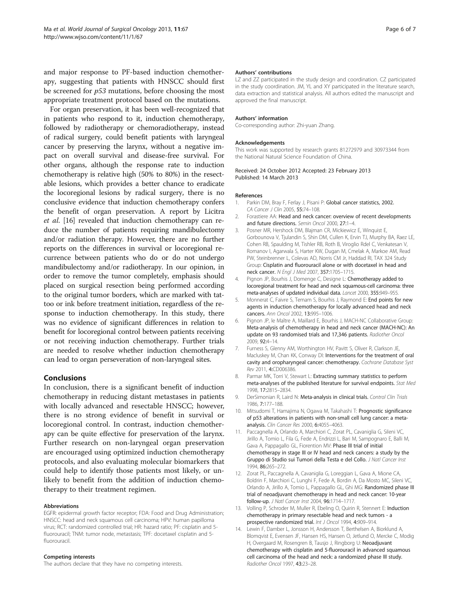<span id="page-5-0"></span>and major response to PF-based induction chemotherapy, suggesting that patients with HNSCC should first be screened for p53 mutations, before choosing the most appropriate treatment protocol based on the mutations.

For organ preservation, it has been well-recognized that in patients who respond to it, induction chemotherapy, followed by radiotherapy or chemoradiotherapy, instead of radical surgery, could benefit patients with laryngeal cancer by preserving the larynx, without a negative impact on overall survival and disease-free survival. For other organs, although the response rate to induction chemotherapy is relative high (50% to 80%) in the resectable lesions, which provides a better chance to eradicate the locoregional lesions by radical surgery, there is no conclusive evidence that induction chemotherapy confers the benefit of organ preservation. A report by Licitra et al. [[16](#page-6-0)] revealed that induction chemotherapy can reduce the number of patients requiring mandibulectomy and/or radiation therapy. However, there are no further reports on the differences in survival or locoregional recurrence between patients who do or do not undergo mandibulectomy and/or radiotherapy. In our opinion, in order to remove the tumor completely, emphasis should placed on surgical resection being performed according to the original tumor borders, which are marked with tattoo or ink before treatment initiation, regardless of the response to induction chemotherapy. In this study, there was no evidence of significant differences in relation to benefit for locoregional control between patients receiving or not receiving induction chemotherapy. Further trials are needed to resolve whether induction chemotherapy can lead to organ perseveration of non-laryngeal sites.

## Conclusions

In conclusion, there is a significant benefit of induction chemotherapy in reducing distant metastases in patients with locally advanced and resectable HNSCC; however, there is no strong evidence of benefit in survival or locoregional control. In contrast, induction chemotherapy can be quite effective for preservation of the larynx. Further research on non-laryngeal organ preservation are encouraged using optimized induction chemotherapy protocols, and also evaluating molecular biomarkers that could help to identify those patients most likely, or unlikely to benefit from the addition of induction chemotherapy to their treatment regimen.

#### Abbreviations

EGFR: epidermal growth factor receptor; FDA: Food and Drug Administration; HNSCC: head and neck squamous cell carcinoma; HPV: human papilloma virus; RCT: randomized controlled trial; HR: hazard ratio; PF: cisplatin and 5 fluorouracil; TNM: tumor node, metastasis; TPF: docetaxel cisplatin and 5 fluorouracil.

#### Competing interests

The authors declare that they have no competing interests.

#### Authors' contributions

LZ and ZZ participated in the study design and coordination. CZ participated in the study coordination. JM, YL and XY participated in the literature search, data extraction and statistical analysis. All authors edited the manuscript and approved the final manuscript.

#### Authors' information

Co-corresponding author: Zhi-yuan Zhang.

#### Acknowledgements

This work was supported by research grants 81272979 and 30973344 from the National Natural Science Foundation of China.

Received: 24 October 2012 Accepted: 23 February 2013 Published: 14 March 2013

#### References

- 1. Parkin DM, Bray F, Ferlay J, Pisani P: Global cancer statistics, 2002. CA Cancer J Clin 2005, 55:74–108.
- 2. Forastiere AA: Head and neck cancer: overview of recent developments and future directions. Semin Oncol 2000, 27:1–4.
- 3. Posner MR, Hershock DM, Blajman CR, Mickiewicz E, Winquist E, Gorbounova V, Tjulandin S, Shin DM, Cullen K, Ervin TJ, Murphy BA, Raez LE, Cohen RB, Spaulding M, Tishler RB, Roth B, Viroglio Rdel C, Venkatesan V, Romanov I, Agarwala S, Harter KW, Dugan M, Cmelak A, Markoe AM, Read PW, Steinbrenner L, Colevas AD, Norris CM Jr, Haddad RI, TAX 324 Study Group: Cisplatin and fluorouracil alone or with docetaxel in head and neck cancer. N Engl J Med 2007, 357:1705–1715.
- 4. Pignon JP, Bourhis J, Domenge C, Designe L: Chemotherapy added to locoregional treatment for head and neck squamous-cell carcinoma: three meta-analyses of updated individual data. Lancet 2000, 355:949–955.
- 5. Monnerat C, Faivre S, Temam S, Bourhis J, Raymond E: End points for new agents in induction chemotherapy for locally advanced head and neck cancers. Ann Oncol 2002, 13:995–1006.
- Pignon JP, le Maître A, Maillard E, Bourhis J, MACH-NC Collaborative Group: Meta-analysis of chemotherapy in head and neck cancer (MACH-NC): An update on 93 randomised trials and 17,346 patients. Radiother Oncol 2009, 92:4–14.
- 7. Furness S, Glenny AM, Worthington HV, Pavitt S, Oliver R, Clarkson JE, Macluskey M, Chan KK, Conway DI: Interventions for the treatment of oral cavity and oropharyngeal cancer: chemotherapy. Cochrane Database Syst Rev 2011, 4:CD006386.
- 8. Parmar MK, Torri V, Stewart L: Extracting summary statistics to perform meta-analyses of the published literature for survival endpoints. Stat Med 1998, 17:2815–2834.
- 9. DerSimonian R, Laird N: Meta-analysis in clinical trials. Control Clin Trials 1986, 7:177–188.
- 10. Mitsudomi T, Hamajima N, Ogawa M, Takahashi T: Prognostic significance of p53 alterations in patients with non-small cell lung cancer: a metaanalysis. Clin Cancer Res 2000, 6:4055–4063.
- 11. Paccagnella A, Orlando A, Marchiori C, Zorat PL, Cavaniglia G, Sileni VC, Jirillo A, Tomio L, Fila G, Fede A, Endrizzi L, Bari M, Sampognaro E, Balli M, Gava A, Pappagallo GL, Fiorention MV: Phase III trial of initial chemotherapy in stage III or IV head and neck cancers: a study by the Gruppo di Studio sui Tumori della Testa e del Collo. J Natl Cancer Inst 1994, 86:265–272.
- 12. Zorat PL, Paccagnella A, Cavaniglia G, Loreggian L, Gava A, Mione CA, Boldrin F, Marchiori C, Lunghi F, Fede A, Bordin A, Da Mosto MC, Sileni VC, Orlando A, Jirillo A, Tomio L, Pappagallo GL, Ghi MG: Randomized phase III trial of neoadjuvant chemotherapy in head and neck cancer: 10-year follow-up. J Natl Cancer Inst 2004, 96:1714–1717.
- 13. Volling P, Schroder M, Muller R, Ebeling O, Quirin R, Stennert E: Induction chemotherapy in primary resectable head and neck tumors - a prospective randomized trial. Int J Oncol 1994, 4:909–914.
- 14. Lewin F, Damber L, Jonsson H, Andersson T, Berthelsen A, Biorklund A, Blomqvist E, Evensen JF, Hansen HS, Hansen O, Jetlund O, Mercke C, Modig H, Overgaard M, Rosengren B, Tausjo J, Ringborg U: Neoadjuvant chemotherapy with cisplatin and 5-fluorouracil in advanced squamous cell carcinoma of the head and neck: a randomized phase III study. Radiother Oncol 1997, 43:23–28.